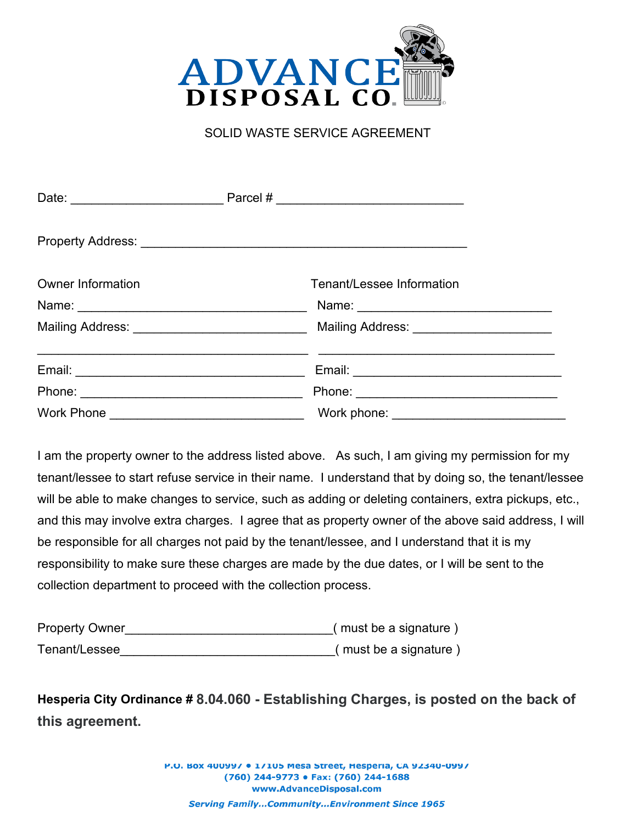

## SOLID WASTE SERVICE AGREEMENT

| <b>Owner Information</b>             |  | Tenant/Lessee Information                                                         |
|--------------------------------------|--|-----------------------------------------------------------------------------------|
|                                      |  |                                                                                   |
|                                      |  | Mailing Address: _________________________________ Mailing Address: _____________ |
|                                      |  |                                                                                   |
|                                      |  |                                                                                   |
| Work Phone <u>__________________</u> |  |                                                                                   |

I am the property owner to the address listed above. As such, I am giving my permission for my tenant/lessee to start refuse service in their name. I understand that by doing so, the tenant/lessee will be able to make changes to service, such as adding or deleting containers, extra pickups, etc., and this may involve extra charges. I agree that as property owner of the above said address, I will be responsible for all charges not paid by the tenant/lessee, and I understand that it is my responsibility to make sure these charges are made by the due dates, or I will be sent to the collection department to proceed with the collection process.

| <b>Property Owner</b> | (must be a signature) |
|-----------------------|-----------------------|
| Tenant/Lessee         | (must be a signature) |

**Hesperia City Ordinance # 8.04.060 - Establishing Charges, is posted on the back of this agreement.**